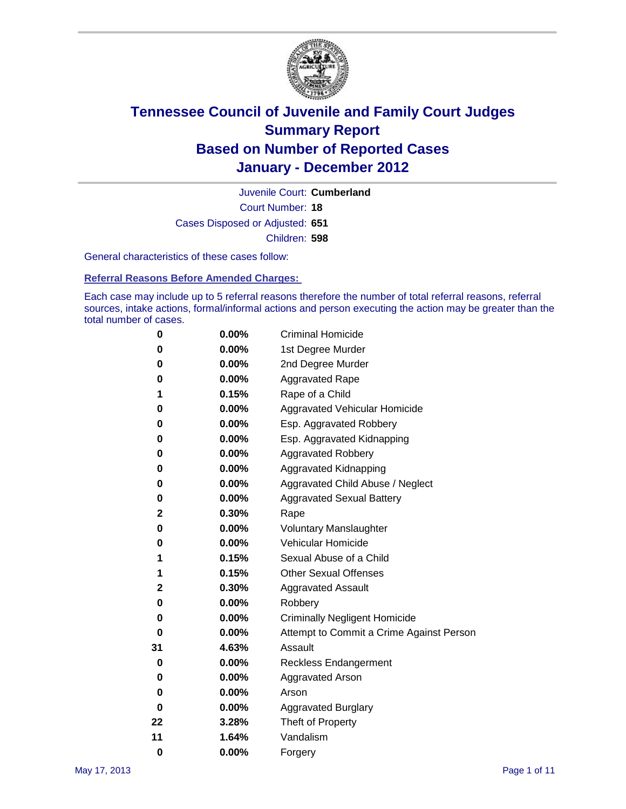

Court Number: **18** Juvenile Court: **Cumberland** Cases Disposed or Adjusted: **651** Children: **598**

General characteristics of these cases follow:

**Referral Reasons Before Amended Charges:** 

Each case may include up to 5 referral reasons therefore the number of total referral reasons, referral sources, intake actions, formal/informal actions and person executing the action may be greater than the total number of cases.

| 0  | 0.00%    | <b>Criminal Homicide</b>                 |  |  |  |  |
|----|----------|------------------------------------------|--|--|--|--|
| 0  | 0.00%    | 1st Degree Murder                        |  |  |  |  |
| 0  | 0.00%    | 2nd Degree Murder                        |  |  |  |  |
| 0  | 0.00%    | <b>Aggravated Rape</b>                   |  |  |  |  |
| 1  | 0.15%    | Rape of a Child                          |  |  |  |  |
| 0  | 0.00%    | Aggravated Vehicular Homicide            |  |  |  |  |
| 0  | 0.00%    | Esp. Aggravated Robbery                  |  |  |  |  |
| 0  | 0.00%    | Esp. Aggravated Kidnapping               |  |  |  |  |
| 0  | 0.00%    | <b>Aggravated Robbery</b>                |  |  |  |  |
| 0  | 0.00%    | Aggravated Kidnapping                    |  |  |  |  |
| 0  | 0.00%    | Aggravated Child Abuse / Neglect         |  |  |  |  |
| 0  | $0.00\%$ | <b>Aggravated Sexual Battery</b>         |  |  |  |  |
| 2  | 0.30%    | Rape                                     |  |  |  |  |
| 0  | $0.00\%$ | <b>Voluntary Manslaughter</b>            |  |  |  |  |
| 0  | 0.00%    | Vehicular Homicide                       |  |  |  |  |
| 1  | 0.15%    | Sexual Abuse of a Child                  |  |  |  |  |
| 1  | 0.15%    | <b>Other Sexual Offenses</b>             |  |  |  |  |
| 2  | 0.30%    | <b>Aggravated Assault</b>                |  |  |  |  |
| 0  | $0.00\%$ | Robbery                                  |  |  |  |  |
| 0  | 0.00%    | <b>Criminally Negligent Homicide</b>     |  |  |  |  |
| 0  | 0.00%    | Attempt to Commit a Crime Against Person |  |  |  |  |
| 31 | 4.63%    | Assault                                  |  |  |  |  |
| 0  | 0.00%    | <b>Reckless Endangerment</b>             |  |  |  |  |
| 0  | 0.00%    | <b>Aggravated Arson</b>                  |  |  |  |  |
| 0  | 0.00%    | Arson                                    |  |  |  |  |
| 0  | 0.00%    | <b>Aggravated Burglary</b>               |  |  |  |  |
| 22 | 3.28%    | Theft of Property                        |  |  |  |  |
| 11 | 1.64%    | Vandalism                                |  |  |  |  |
| 0  | 0.00%    | Forgery                                  |  |  |  |  |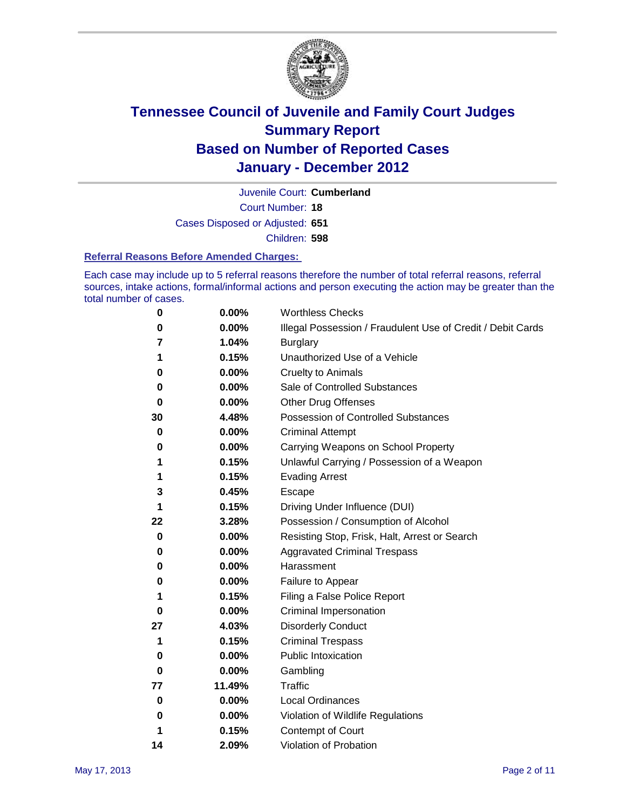

Court Number: **18** Juvenile Court: **Cumberland** Cases Disposed or Adjusted: **651** Children: **598**

#### **Referral Reasons Before Amended Charges:**

Each case may include up to 5 referral reasons therefore the number of total referral reasons, referral sources, intake actions, formal/informal actions and person executing the action may be greater than the total number of cases.

| 0  | 0.00%  | <b>Worthless Checks</b>                                     |  |  |  |
|----|--------|-------------------------------------------------------------|--|--|--|
| 0  | 0.00%  | Illegal Possession / Fraudulent Use of Credit / Debit Cards |  |  |  |
| 7  | 1.04%  | <b>Burglary</b>                                             |  |  |  |
| 1  | 0.15%  | Unauthorized Use of a Vehicle                               |  |  |  |
| 0  | 0.00%  | <b>Cruelty to Animals</b>                                   |  |  |  |
| 0  | 0.00%  | Sale of Controlled Substances                               |  |  |  |
| 0  | 0.00%  | <b>Other Drug Offenses</b>                                  |  |  |  |
| 30 | 4.48%  | Possession of Controlled Substances                         |  |  |  |
| 0  | 0.00%  | <b>Criminal Attempt</b>                                     |  |  |  |
| 0  | 0.00%  | Carrying Weapons on School Property                         |  |  |  |
| 1  | 0.15%  | Unlawful Carrying / Possession of a Weapon                  |  |  |  |
| 1  | 0.15%  | <b>Evading Arrest</b>                                       |  |  |  |
| 3  | 0.45%  | Escape                                                      |  |  |  |
| 1  | 0.15%  | Driving Under Influence (DUI)                               |  |  |  |
| 22 | 3.28%  | Possession / Consumption of Alcohol                         |  |  |  |
| 0  | 0.00%  | Resisting Stop, Frisk, Halt, Arrest or Search               |  |  |  |
| 0  | 0.00%  | <b>Aggravated Criminal Trespass</b>                         |  |  |  |
| 0  | 0.00%  | Harassment                                                  |  |  |  |
| 0  | 0.00%  | Failure to Appear                                           |  |  |  |
| 1  | 0.15%  | Filing a False Police Report                                |  |  |  |
| 0  | 0.00%  | Criminal Impersonation                                      |  |  |  |
| 27 | 4.03%  | <b>Disorderly Conduct</b>                                   |  |  |  |
| 1  | 0.15%  | <b>Criminal Trespass</b>                                    |  |  |  |
| 0  | 0.00%  | <b>Public Intoxication</b>                                  |  |  |  |
| 0  | 0.00%  | Gambling                                                    |  |  |  |
| 77 | 11.49% | <b>Traffic</b>                                              |  |  |  |
| 0  | 0.00%  | <b>Local Ordinances</b>                                     |  |  |  |
| 0  | 0.00%  | Violation of Wildlife Regulations                           |  |  |  |
| 1  | 0.15%  | Contempt of Court                                           |  |  |  |
| 14 | 2.09%  | Violation of Probation                                      |  |  |  |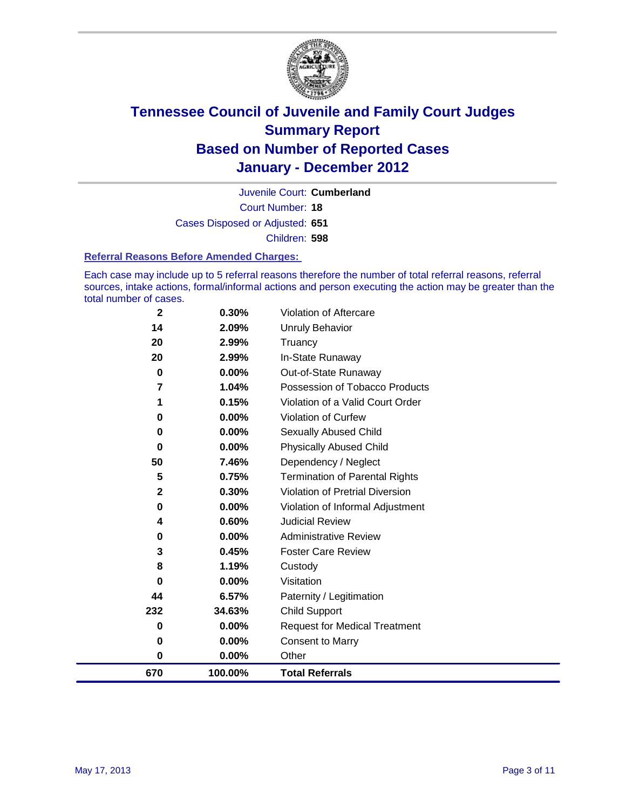

Court Number: **18** Juvenile Court: **Cumberland** Cases Disposed or Adjusted: **651** Children: **598**

#### **Referral Reasons Before Amended Charges:**

Each case may include up to 5 referral reasons therefore the number of total referral reasons, referral sources, intake actions, formal/informal actions and person executing the action may be greater than the total number of cases.

| 670         | 100.00%  | <b>Total Referrals</b>                 |
|-------------|----------|----------------------------------------|
| 0           | $0.00\%$ | Other                                  |
| 0           | 0.00%    | <b>Consent to Marry</b>                |
| 0           | $0.00\%$ | <b>Request for Medical Treatment</b>   |
| 232         | 34.63%   | <b>Child Support</b>                   |
| 44          | 6.57%    | Paternity / Legitimation               |
| 0           | $0.00\%$ | Visitation                             |
| 8           | 1.19%    | Custody                                |
| 3           | 0.45%    | <b>Foster Care Review</b>              |
| 0           | $0.00\%$ | <b>Administrative Review</b>           |
| 4           | 0.60%    | <b>Judicial Review</b>                 |
| 0           | 0.00%    | Violation of Informal Adjustment       |
| 2           | 0.30%    | <b>Violation of Pretrial Diversion</b> |
| 5           | 0.75%    | Termination of Parental Rights         |
| 50          | 7.46%    | Dependency / Neglect                   |
| $\bf{0}$    | $0.00\%$ | <b>Physically Abused Child</b>         |
| 0           | 0.00%    | <b>Sexually Abused Child</b>           |
| 0           | $0.00\%$ | Violation of Curfew                    |
| 1           | 0.15%    | Violation of a Valid Court Order       |
| 7           | 1.04%    | Possession of Tobacco Products         |
| 0           | $0.00\%$ | Out-of-State Runaway                   |
| 20          | 2.99%    | In-State Runaway                       |
| 20          | 2.99%    | Truancy                                |
| 14          | 2.09%    | <b>Unruly Behavior</b>                 |
| $\mathbf 2$ | 0.30%    | Violation of Aftercare                 |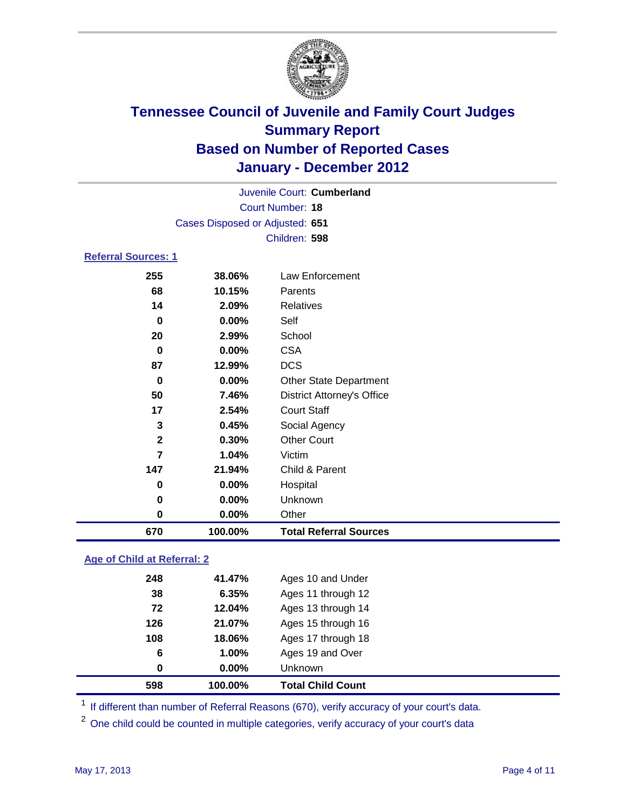

|                            |                                 | Juvenile Court: Cumberland        |  |  |  |
|----------------------------|---------------------------------|-----------------------------------|--|--|--|
| <b>Court Number: 18</b>    |                                 |                                   |  |  |  |
|                            | Cases Disposed or Adjusted: 651 |                                   |  |  |  |
|                            |                                 | Children: 598                     |  |  |  |
| <b>Referral Sources: 1</b> |                                 |                                   |  |  |  |
| 255                        | 38.06%                          | Law Enforcement                   |  |  |  |
| 68                         | 10.15%                          | Parents                           |  |  |  |
| 14                         | 2.09%                           | Relatives                         |  |  |  |
| 0                          | $0.00\%$                        | Self                              |  |  |  |
| 20                         | 2.99%                           | School                            |  |  |  |
| 0                          | $0.00\%$                        | <b>CSA</b>                        |  |  |  |
| 87                         | 12.99%                          | <b>DCS</b>                        |  |  |  |
| 0                          | 0.00%                           | <b>Other State Department</b>     |  |  |  |
| 50                         | 7.46%                           | <b>District Attorney's Office</b> |  |  |  |
| 17                         | 2.54%                           | <b>Court Staff</b>                |  |  |  |
| 3                          | 0.45%                           | Social Agency                     |  |  |  |
| $\mathbf{2}$               | 0.30%                           | <b>Other Court</b>                |  |  |  |
| 7                          | 1.04%                           | Victim                            |  |  |  |
| 147                        | 21.94%                          | Child & Parent                    |  |  |  |
| 0                          | $0.00\%$                        | Hospital                          |  |  |  |
| 0                          | $0.00\%$                        | Unknown                           |  |  |  |
| 0                          | 0.00%                           | Other                             |  |  |  |

### **Age of Child at Referral: 2**

| 598 | 100.00%  | <b>Total Child Count</b> |
|-----|----------|--------------------------|
| 0   | $0.00\%$ | <b>Unknown</b>           |
| 6   | 1.00%    | Ages 19 and Over         |
| 108 | 18.06%   | Ages 17 through 18       |
| 126 | 21.07%   | Ages 15 through 16       |
| 72  | 12.04%   | Ages 13 through 14       |
| 38  | 6.35%    | Ages 11 through 12       |
| 248 | 41.47%   | Ages 10 and Under        |
|     |          |                          |

<sup>1</sup> If different than number of Referral Reasons (670), verify accuracy of your court's data.

**100.00% Total Referral Sources**

<sup>2</sup> One child could be counted in multiple categories, verify accuracy of your court's data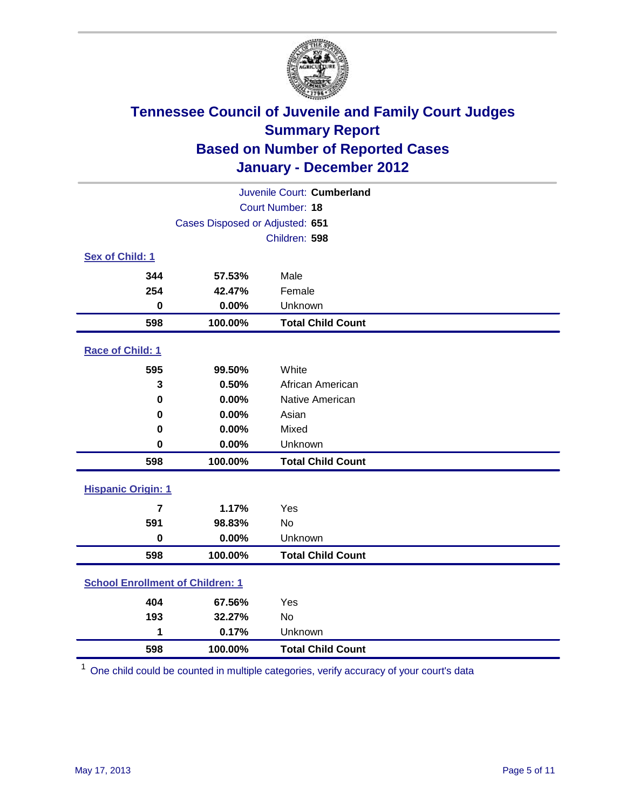

| Juvenile Court: Cumberland              |                                 |                          |  |  |
|-----------------------------------------|---------------------------------|--------------------------|--|--|
| <b>Court Number: 18</b>                 |                                 |                          |  |  |
|                                         | Cases Disposed or Adjusted: 651 |                          |  |  |
|                                         |                                 | Children: 598            |  |  |
| Sex of Child: 1                         |                                 |                          |  |  |
| 344                                     | 57.53%                          | Male                     |  |  |
| 254                                     | 42.47%                          | Female                   |  |  |
| $\mathbf 0$                             | 0.00%                           | Unknown                  |  |  |
| 598                                     | 100.00%                         | <b>Total Child Count</b> |  |  |
| Race of Child: 1                        |                                 |                          |  |  |
| 595                                     | 99.50%                          | White                    |  |  |
| 3                                       | 0.50%                           | African American         |  |  |
| $\mathbf 0$                             | 0.00%                           | <b>Native American</b>   |  |  |
| 0                                       | 0.00%                           | Asian                    |  |  |
| 0                                       | 0.00%                           | Mixed                    |  |  |
| 0                                       | 0.00%                           | Unknown                  |  |  |
| 598                                     | 100.00%                         | <b>Total Child Count</b> |  |  |
| <b>Hispanic Origin: 1</b>               |                                 |                          |  |  |
| $\overline{\mathbf{r}}$                 | 1.17%                           | Yes                      |  |  |
| 591                                     | 98.83%                          | No                       |  |  |
| $\mathbf 0$                             | 0.00%                           | Unknown                  |  |  |
| 598                                     | 100.00%                         | <b>Total Child Count</b> |  |  |
| <b>School Enrollment of Children: 1</b> |                                 |                          |  |  |
| 404                                     | 67.56%                          | Yes                      |  |  |
| 193                                     | 32.27%                          | No                       |  |  |
| 1                                       | 0.17%                           | Unknown                  |  |  |
| 598                                     | 100.00%                         | <b>Total Child Count</b> |  |  |

One child could be counted in multiple categories, verify accuracy of your court's data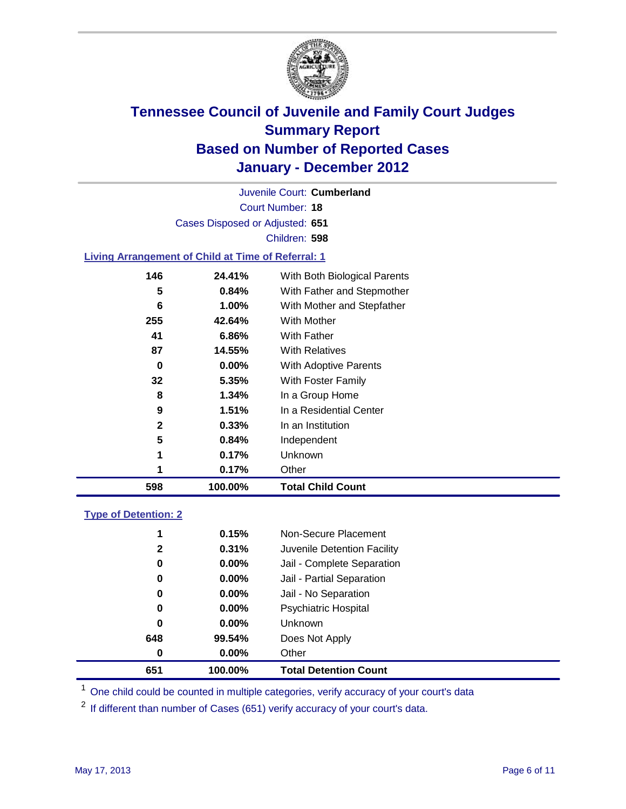

Court Number: **18** Juvenile Court: **Cumberland** Cases Disposed or Adjusted: **651** Children: **598**

#### **Living Arrangement of Child at Time of Referral: 1**

| 1   | 0.17%    | Other                        |
|-----|----------|------------------------------|
| 1   | 0.17%    | Unknown                      |
| 5   | 0.84%    | Independent                  |
| 2   | 0.33%    | In an Institution            |
| 9   | 1.51%    | In a Residential Center      |
| 8   | 1.34%    | In a Group Home              |
| 32  | 5.35%    | With Foster Family           |
| 0   | 0.00%    | <b>With Adoptive Parents</b> |
| 87  | 14.55%   | <b>With Relatives</b>        |
| 41  | 6.86%    | With Father                  |
| 255 | 42.64%   | With Mother                  |
| 6   | 1.00%    | With Mother and Stepfather   |
| 5   | $0.84\%$ | With Father and Stepmother   |
| 146 | 24.41%   | With Both Biological Parents |
|     |          |                              |

### **Type of Detention: 2**

| 651          | 100.00%  | <b>Total Detention Count</b> |
|--------------|----------|------------------------------|
| $\bf{0}$     | $0.00\%$ | Other                        |
| 648          | 99.54%   | Does Not Apply               |
| 0            | $0.00\%$ | Unknown                      |
| 0            | $0.00\%$ | <b>Psychiatric Hospital</b>  |
| 0            | 0.00%    | Jail - No Separation         |
| 0            | $0.00\%$ | Jail - Partial Separation    |
| 0            | $0.00\%$ | Jail - Complete Separation   |
| $\mathbf{2}$ | 0.31%    | Juvenile Detention Facility  |
| 1            | 0.15%    | Non-Secure Placement         |
|              |          |                              |

<sup>1</sup> One child could be counted in multiple categories, verify accuracy of your court's data

<sup>2</sup> If different than number of Cases (651) verify accuracy of your court's data.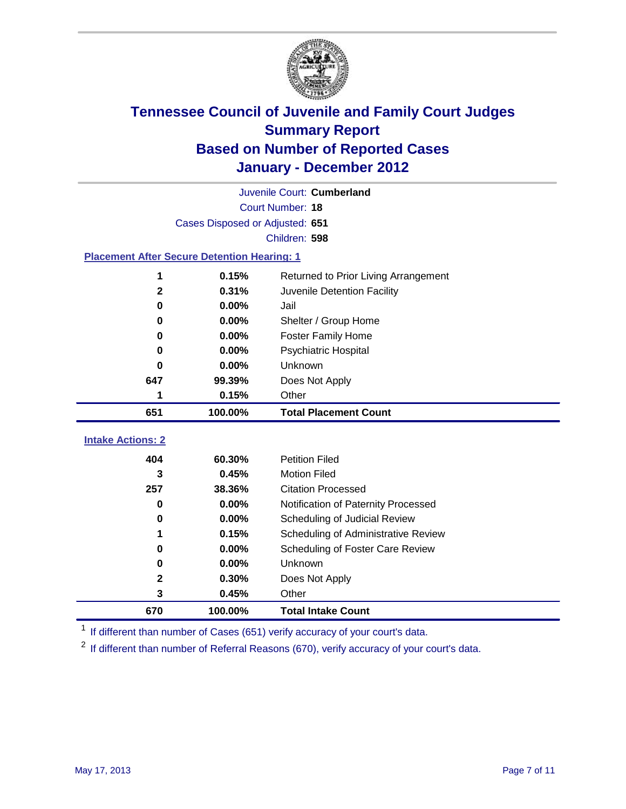

| Juvenile Court: Cumberland                         |                                 |                                      |  |  |  |
|----------------------------------------------------|---------------------------------|--------------------------------------|--|--|--|
|                                                    | Court Number: 18                |                                      |  |  |  |
|                                                    | Cases Disposed or Adjusted: 651 |                                      |  |  |  |
|                                                    | Children: 598                   |                                      |  |  |  |
| <b>Placement After Secure Detention Hearing: 1</b> |                                 |                                      |  |  |  |
| 1                                                  | 0.15%                           | Returned to Prior Living Arrangement |  |  |  |
| $\mathbf{2}$                                       | 0.31%                           | Juvenile Detention Facility          |  |  |  |
| $\bf{0}$                                           | 0.00%                           | Jail                                 |  |  |  |
| 0                                                  | 0.00%                           | Shelter / Group Home                 |  |  |  |
| 0                                                  | 0.00%                           | <b>Foster Family Home</b>            |  |  |  |
| $\bf{0}$                                           | 0.00%                           | <b>Psychiatric Hospital</b>          |  |  |  |
| 0                                                  | 0.00%                           | Unknown                              |  |  |  |
| 647                                                | 99.39%                          | Does Not Apply                       |  |  |  |
| 1                                                  | 0.15%                           | Other                                |  |  |  |
| 651                                                | 100.00%                         | <b>Total Placement Count</b>         |  |  |  |
|                                                    |                                 |                                      |  |  |  |
| <b>Intake Actions: 2</b>                           |                                 |                                      |  |  |  |
| 404                                                | 60.30%                          | <b>Petition Filed</b>                |  |  |  |
| 3                                                  | 0.45%                           | <b>Motion Filed</b>                  |  |  |  |
| 257                                                | 38.36%                          | <b>Citation Processed</b>            |  |  |  |
| 0                                                  | 0.00%                           | Notification of Paternity Processed  |  |  |  |
| 0                                                  | 0.00%                           | Scheduling of Judicial Review        |  |  |  |
| 1                                                  | 0.15%                           | Scheduling of Administrative Review  |  |  |  |
| 0                                                  | 0.00%                           | Scheduling of Foster Care Review     |  |  |  |
| $\bf{0}$                                           | 0.00%                           | Unknown                              |  |  |  |
| $\mathbf{2}$                                       | 0.30%                           | Does Not Apply                       |  |  |  |
| 3                                                  | 0.45%                           | Other                                |  |  |  |

<sup>1</sup> If different than number of Cases (651) verify accuracy of your court's data.

<sup>2</sup> If different than number of Referral Reasons (670), verify accuracy of your court's data.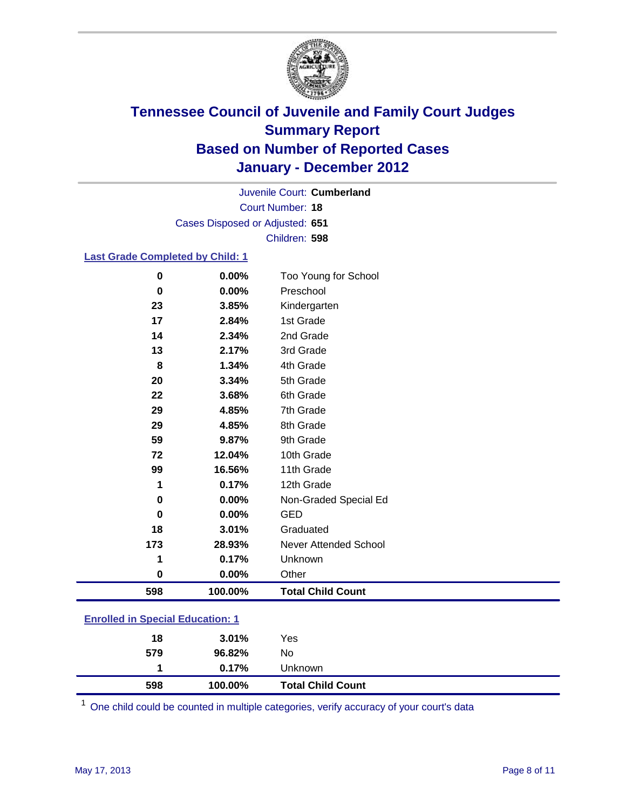

Court Number: **18** Juvenile Court: **Cumberland** Cases Disposed or Adjusted: **651** Children: **598**

#### **Last Grade Completed by Child: 1**

| $\bf{0}$                                | 0.00%    | Too Young for School     |  |
|-----------------------------------------|----------|--------------------------|--|
| 0                                       | $0.00\%$ | Preschool                |  |
| 23                                      | 3.85%    | Kindergarten             |  |
| 17                                      | 2.84%    | 1st Grade                |  |
| 14                                      | 2.34%    | 2nd Grade                |  |
| 13                                      | 2.17%    | 3rd Grade                |  |
| 8                                       | 1.34%    | 4th Grade                |  |
| 20                                      | 3.34%    | 5th Grade                |  |
| 22                                      | 3.68%    | 6th Grade                |  |
| 29                                      | 4.85%    | 7th Grade                |  |
| 29                                      | 4.85%    | 8th Grade                |  |
| 59                                      | 9.87%    | 9th Grade                |  |
| 72                                      | 12.04%   | 10th Grade               |  |
| 99                                      | 16.56%   | 11th Grade               |  |
| 1                                       | 0.17%    | 12th Grade               |  |
| 0                                       | 0.00%    | Non-Graded Special Ed    |  |
| 0                                       | 0.00%    | <b>GED</b>               |  |
| 18                                      | 3.01%    | Graduated                |  |
| 173                                     | 28.93%   | Never Attended School    |  |
| 1                                       | 0.17%    | Unknown                  |  |
| 0                                       | 0.00%    | Other                    |  |
| 598                                     | 100.00%  | <b>Total Child Count</b> |  |
| <b>Enrolled in Special Education: 1</b> |          |                          |  |

| 598                                       | 100.00%  | <b>Total Child Count</b> |  |  |
|-------------------------------------------|----------|--------------------------|--|--|
|                                           | $0.17\%$ | <b>Unknown</b>           |  |  |
| 579                                       | 96.82%   | No                       |  |  |
| 18                                        | $3.01\%$ | Yes                      |  |  |
| <u>Einvilled in Opcolar Eugeneinen. I</u> |          |                          |  |  |

One child could be counted in multiple categories, verify accuracy of your court's data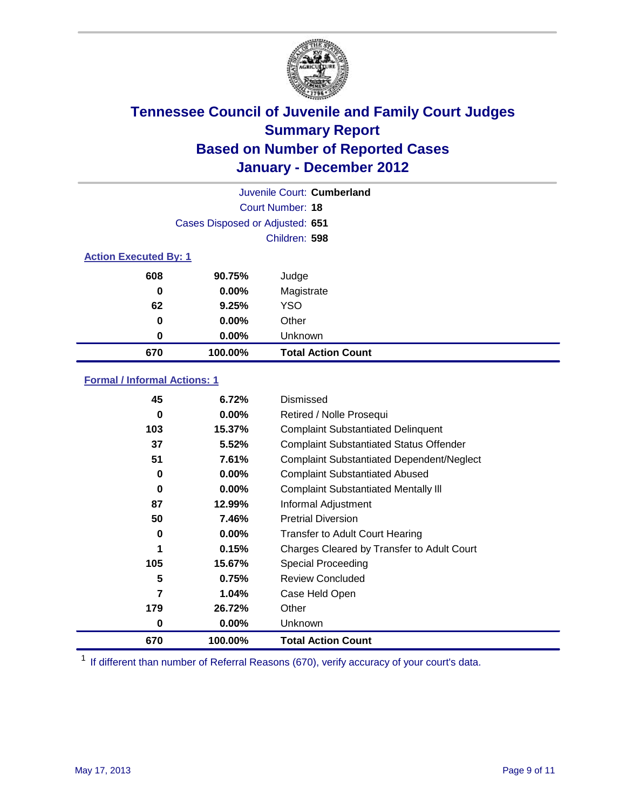

| Juvenile Court: Cumberland   |                                 |                           |  |
|------------------------------|---------------------------------|---------------------------|--|
|                              | Court Number: 18                |                           |  |
|                              | Cases Disposed or Adjusted: 651 |                           |  |
|                              | Children: 598                   |                           |  |
| <b>Action Executed By: 1</b> |                                 |                           |  |
| 608                          | 90.75%                          | Judge                     |  |
| 0                            | $0.00\%$                        | Magistrate                |  |
| 62                           | 9.25%                           | <b>YSO</b>                |  |
| $\bf{0}$                     | $0.00\%$                        | Other                     |  |
| 0                            | 0.00%                           | Unknown                   |  |
| 670                          | 100.00%                         | <b>Total Action Count</b> |  |

### **Formal / Informal Actions: 1**

| 45  | 6.72%    | Dismissed                                        |
|-----|----------|--------------------------------------------------|
| 0   | $0.00\%$ | Retired / Nolle Prosequi                         |
| 103 | 15.37%   | <b>Complaint Substantiated Delinquent</b>        |
| 37  | 5.52%    | <b>Complaint Substantiated Status Offender</b>   |
| 51  | 7.61%    | <b>Complaint Substantiated Dependent/Neglect</b> |
| 0   | 0.00%    | <b>Complaint Substantiated Abused</b>            |
| 0   | $0.00\%$ | <b>Complaint Substantiated Mentally III</b>      |
| 87  | 12.99%   | Informal Adjustment                              |
| 50  | 7.46%    | <b>Pretrial Diversion</b>                        |
| 0   | $0.00\%$ | <b>Transfer to Adult Court Hearing</b>           |
| 1   | 0.15%    | Charges Cleared by Transfer to Adult Court       |
| 105 | 15.67%   | <b>Special Proceeding</b>                        |
| 5   | 0.75%    | <b>Review Concluded</b>                          |
| 7   | 1.04%    | Case Held Open                                   |
| 179 | 26.72%   | Other                                            |
| 0   | 0.00%    | <b>Unknown</b>                                   |
| 670 | 100.00%  | <b>Total Action Count</b>                        |

<sup>1</sup> If different than number of Referral Reasons (670), verify accuracy of your court's data.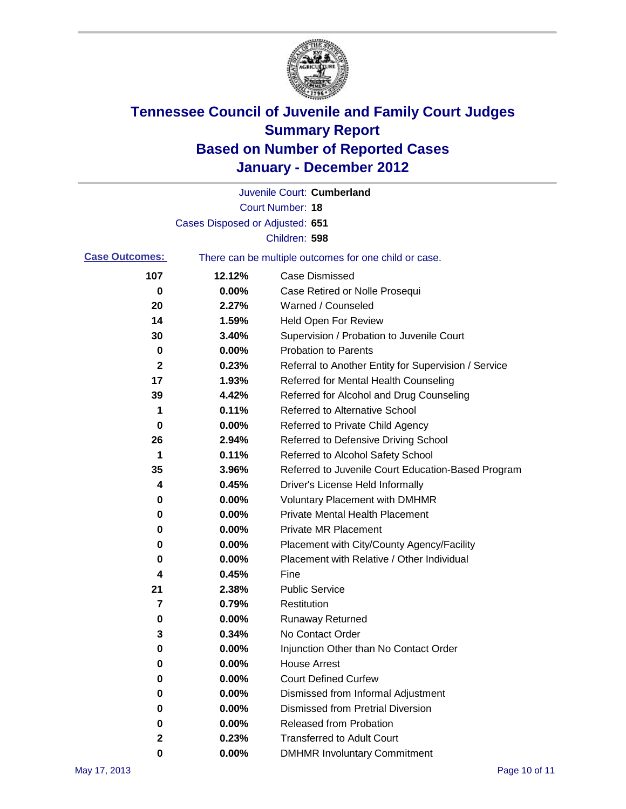

|                       |                                 | Juvenile Court: Cumberland                            |
|-----------------------|---------------------------------|-------------------------------------------------------|
|                       |                                 | Court Number: 18                                      |
|                       | Cases Disposed or Adjusted: 651 |                                                       |
|                       |                                 | Children: 598                                         |
| <b>Case Outcomes:</b> |                                 | There can be multiple outcomes for one child or case. |
| 107                   | 12.12%                          | <b>Case Dismissed</b>                                 |
| 0                     | 0.00%                           | Case Retired or Nolle Prosequi                        |
| 20                    | 2.27%                           | Warned / Counseled                                    |
| 14                    | 1.59%                           | <b>Held Open For Review</b>                           |
| 30                    | 3.40%                           | Supervision / Probation to Juvenile Court             |
| 0                     | 0.00%                           | <b>Probation to Parents</b>                           |
| $\mathbf{2}$          | 0.23%                           | Referral to Another Entity for Supervision / Service  |
| 17                    | 1.93%                           | Referred for Mental Health Counseling                 |
| 39                    | 4.42%                           | Referred for Alcohol and Drug Counseling              |
| 1                     | 0.11%                           | Referred to Alternative School                        |
| 0                     | 0.00%                           | Referred to Private Child Agency                      |
| 26                    | 2.94%                           | Referred to Defensive Driving School                  |
| 1                     | 0.11%                           | Referred to Alcohol Safety School                     |
| 35                    | 3.96%                           | Referred to Juvenile Court Education-Based Program    |
| 4                     | 0.45%                           | Driver's License Held Informally                      |
| 0                     | 0.00%                           | <b>Voluntary Placement with DMHMR</b>                 |
| 0                     | 0.00%                           | <b>Private Mental Health Placement</b>                |
| 0                     | 0.00%                           | <b>Private MR Placement</b>                           |
| 0                     | 0.00%                           | Placement with City/County Agency/Facility            |
| 0                     | 0.00%                           | Placement with Relative / Other Individual            |
| 4                     | 0.45%                           | Fine                                                  |
| 21                    | 2.38%                           | <b>Public Service</b>                                 |
| 7                     | 0.79%                           | Restitution                                           |
| 0                     | 0.00%                           | Runaway Returned                                      |
| 3                     | 0.34%                           | No Contact Order                                      |
| 0                     | 0.00%                           | Injunction Other than No Contact Order                |
| 0                     | 0.00%                           | <b>House Arrest</b>                                   |
| 0                     | 0.00%                           | <b>Court Defined Curfew</b>                           |
| 0                     | 0.00%                           | Dismissed from Informal Adjustment                    |
| 0                     | 0.00%                           | <b>Dismissed from Pretrial Diversion</b>              |
| 0                     | 0.00%                           | Released from Probation                               |
| 2                     | 0.23%                           | <b>Transferred to Adult Court</b>                     |
| 0                     | 0.00%                           | <b>DMHMR Involuntary Commitment</b>                   |